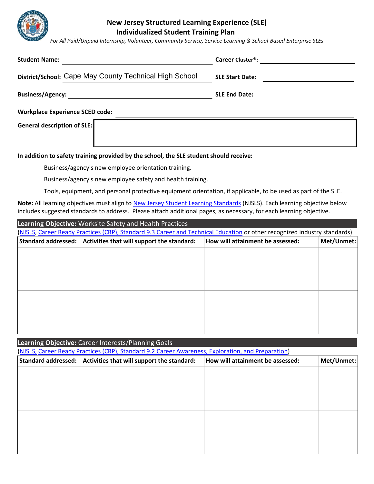

## **New Jersey Structured Learning Experience (SLE) Individualized Student Training Plan**

*For All Paid/Unpaid Internship, Volunteer, Community Service, Service Learning & School-Based Enterprise SLEs*

| <b>Student Name:</b>                                   | Career Cluster <sup>®</sup> : |  |  |  |
|--------------------------------------------------------|-------------------------------|--|--|--|
| District/School: Cape May County Technical High School | <b>SLE Start Date:</b>        |  |  |  |
| <b>Business/Agency:</b>                                | <b>SLE End Date:</b>          |  |  |  |
| <b>Workplace Experience SCED code:</b>                 |                               |  |  |  |
| General description of SLE:                            |                               |  |  |  |

## **In addition to safety training provided by the school, the SLE student should receive:**

Business/agency's new employee orientation training.

Business/agency's new employee safety and health training.

Tools, equipment, and personal protective equipment orientation, if applicable, to be used as part of the SLE.

**Note:** All learning objectives must align to [New Jersey Student Learning Standards](http://www.state.nj.us/education/cccs/) (NJSLS). Each learning objective below includes suggested standards to address. Please attach additional pages, as necessary, for each learning objective.

| Learning Objective: Worksite Safety and Health Practices                                                                  |                                            |                                  |            |  |  |
|---------------------------------------------------------------------------------------------------------------------------|--------------------------------------------|----------------------------------|------------|--|--|
| (NJSLS, Career Ready Practices (CRP), Standard 9.3 Career and Technical Education or other recognized industry standards) |                                            |                                  |            |  |  |
| <b>Standard addressed:</b>                                                                                                | Activities that will support the standard: | How will attainment be assessed: | Met/Unmet: |  |  |
|                                                                                                                           |                                            |                                  |            |  |  |
|                                                                                                                           |                                            |                                  |            |  |  |
|                                                                                                                           |                                            |                                  |            |  |  |
|                                                                                                                           |                                            |                                  |            |  |  |
|                                                                                                                           |                                            |                                  |            |  |  |
|                                                                                                                           |                                            |                                  |            |  |  |
|                                                                                                                           |                                            |                                  |            |  |  |
|                                                                                                                           |                                            |                                  |            |  |  |
|                                                                                                                           |                                            |                                  |            |  |  |

| (NJSLS, Career Ready Practices (CRP), Standard 9.2 Career Awareness, Exploration, and Preparation)                         |
|----------------------------------------------------------------------------------------------------------------------------|
|                                                                                                                            |
| <b>Standard addressed:</b><br>Activities that will support the standard:<br>How will attainment be assessed:<br>Met/Unmet: |
|                                                                                                                            |
|                                                                                                                            |
|                                                                                                                            |
|                                                                                                                            |
|                                                                                                                            |
|                                                                                                                            |
|                                                                                                                            |
|                                                                                                                            |